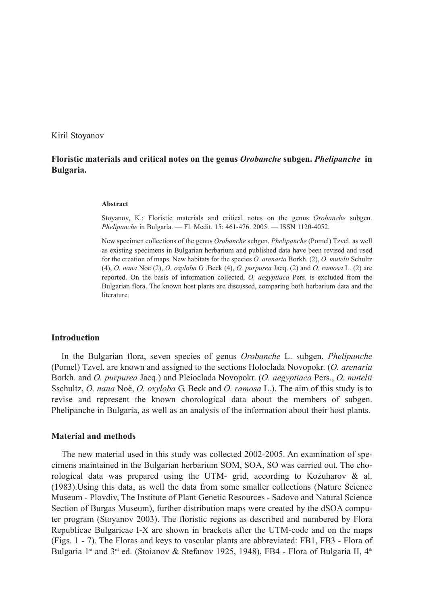Kiril Stoyanov

# **Floristic materials and critical notes on the genus** *Orobanche* **subgen.** *Phelipanche* **in Bulgaria.**

#### **Abstract**

Stoyanov, K.: Floristic materials and critical notes on the genus *Orobanche* subgen. *Phelipanche* in Bulgaria. — Fl. Medit. 15: 461-476. 2005. — ISSN 1120-4052.

New specimen collections of the genus *Orobanche* subgen. *Phelipanche* (Pomel) Tzvel. as well as existing specimens in Bulgarian herbarium and published data have been revised and used for the creation of maps. New habitats for the species *O. arenaria* Borkh. (2), *O. mutelii* Schultz (4), *O. nana* Noë (2), *O. oxyloba* G .Beck (4), *O. purpurea* Jacq. (2) and *O. ramosa* L. (2) are reported. On the basis of information collected, *O. aegyptiaca* Pers. is excluded from the Bulgarian flora. The known host plants are discussed, comparing both herbarium data and the **literature** 

#### **Introduction**

In the Bulgarian flora, seven species of genus *Orobanche* L. subgen. *Phelipanche* (Pomel) Tzvel. are known and assigned to the sections Holoclada Novopokr. (*O. arenaria* Borkh. and *O. purpurea* Jacq.) and Pleioclada Novopokr. (*O. aegyptiaca* Pers., *O. mutelii* Sschultz, *O. nana* Noë, *O. oxyloba* G. Beck and *O. ramosa* L.). The aim of this study is to revise and represent the known chorological data about the members of subgen. Phelipanche in Bulgaria, as well as an analysis of the information about their host plants.

#### **Material and methods**

The new material used in this study was collected 2002-2005. An examination of specimens maintained in the Bulgarian herbarium SOM, SOA, SO was carried out. The chorological data was prepared using the UTM- grid, according to Kožuharov & al. (1983).Using this data, as well the data from some smaller collections (Nature Science Museum - Plovdiv, The Institute of Plant Genetic Resources - Sadovo and Natural Science Section of Burgas Museum), further distribution maps were created by the dSOA computer program (Stoyanov 2003). The floristic regions as described and numbered by Flora Republicae Bulgaricae I-X are shown in brackets after the UTM-code and on the maps (Figs. 1 - 7). The Floras and keys to vascular plants are abbreviated: FB1, FB3 - Flora of Bulgaria 1<sup>st</sup> and 3<sup>rd</sup> ed. (Stoianov & Stefanov 1925, 1948), FB4 - Flora of Bulgaria II, 4<sup>th</sup>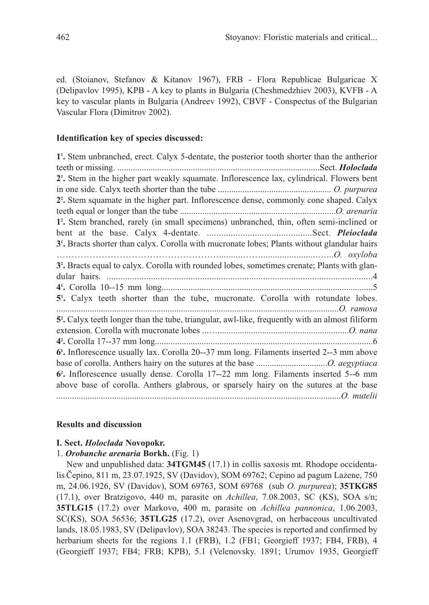ed. (Stoianov, Stefanov & Kitanov 1967), FRB - Flora Republicae Bulgaricae X (Delipavlov 1995), KPB - A key to plants in Bulgaria (Cheshmedzhiev 2003), KVFB - A key to vascular plants in Bulgaria (Andreev 1992), CBVF - Conspectus of the Bulgarian Vascular Flora (Dimitrov 2002).

### **Identification key of species discussed:**

| 1'. Stem unbranched, erect. Calyx 5-dentate, the posterior tooth shorter than the antherior                 |
|-------------------------------------------------------------------------------------------------------------|
|                                                                                                             |
| 2 <sup>1</sup> . Stem in the higher part weakly squamate. Inflorescence lax, cylindrical. Flowers bent      |
|                                                                                                             |
| 2 <sup>2</sup> . Stem squamate in the higher part. Inflorescence dense, commonly cone shaped. Calyx         |
|                                                                                                             |
| 1 <sup>2</sup> . Stem branched, rarely (in small specimens) unbranched, thin, often semi-inclined or        |
|                                                                                                             |
| 3 <sup>1</sup> . Bracts shorter than calyx. Corolla with mucronate lobes; Plants without glandular hairs    |
|                                                                                                             |
| 3 <sup>2</sup> . Bracts equal to calyx. Corolla with rounded lobes, sometimes crenate; Plants with glan-    |
|                                                                                                             |
|                                                                                                             |
|                                                                                                             |
|                                                                                                             |
| 5'. Calyx teeth shorter than the tube, mucronate. Corolla with rotundate lobes.                             |
|                                                                                                             |
| 5 <sup>2</sup> . Calyx teeth longer than the tube, triangular, awl-like, frequently with an almost filiform |
|                                                                                                             |
|                                                                                                             |
| 6 <sup>1</sup> . Inflorescence usually lax. Corolla 20--37 mm long. Filaments inserted 2--3 mm above        |
|                                                                                                             |
| 6 <sup>2</sup> . Inflorescence usually dense. Corolla 17--22 mm long. Filaments inserted 5--6 mm            |
| above base of corolla. Anthers glabrous, or sparsely hairy on the sutures at the base                       |

#### **Results and discussion**

# **I. Sect.** *Holoclada* **Novopokr.**

### 1. *Orobanche arenaria* **Borkh.** (Fig. 1)

New and unpublished data: **34TGM45** (17.1) in collis saxosis mt. Rhodope occidentalis Čepino, 811 m, 23.07.1925, SV (Davidov), SOM 69762; Cepino ad pagum Lažene, 750 m, 24.06.1926, SV (Davidov), SOM 69763, SOM 69768 (sub *O. purpurea*); **35TKG85** (17.1), over Bratzigovo, 440 m, parasite on *Achillea*, 7.08.2003, SC (KS), SOA s/n; **35TLG15** (17.2) over Markovo, 400 m, parasite on *Achillea pannonica*, 1.06.2003, SC(KS), SOA 56536; **35TLG25** (17.2), over Asenovgrad, on herbaceous uncultivated lands, 18.05.1983, SV (Delipavlov), SOA 38243. The species is reported and confirmed by herbarium sheets for the regions 1.1 (FRB), 1.2 (FB1; Georgieff 1937; FB4, FRB), 4 (Georgieff 1937; FB4; FRB; KPB), 5.1 (Velenovsky. 1891; Urumov 1935, Georgieff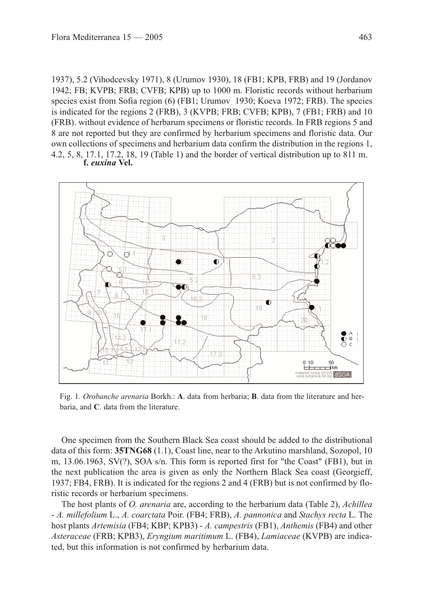1937), 5.2 (Vihodcevsky 1971), 8 (Urumov 1930), 18 (FB1; KPB, FRB) and 19 (Jordanov 1942; FB; KVPB; FRB; CVFB; KPB) up to 1000 m. Floristic records without herbarium species exist from Sofia region (6) (FB1; Urumov 1930; Koeva 1972; FRB). The species is indicated for the regions 2 (FRB), 3 (KVPB; FRB; CVFB; KPB), 7 (FB1; FRB) and 10 (FRB). without evidence of herbarum specimens or floristic records. In FRB regions 5 and 8 are not reported but they are confirmed by herbarium specimens and floristic data. Our own collections of specimens and herbarium data confirm the distribution in the regions 1, 4.2, 5, 8, 17.1, 17.2, 18, 19 (Table 1) and the border of vertical distribution up to 811 m. **f.** *euxina* **Vel.**



Fig. 1. *Orobanche arenaria* Borkh.: **A**. data from herbaria; **B**. data from the literature and herbaria, and **C**. data from the literature.

One specimen from the Southern Black Sea coast should be added to the distributional data of this form: **35TNG68** (1.1), Coast line, near to the Arkutino marshland, Sozopol, 10 m, 13.06.1963, SV(?), SOA s/n. This form is reported first for "the Coast" (FB1), but in the next publication the area is given as only the Northern Black Sea coast (Georgieff, 1937; FB4, FRB). It is indicated for the regions 2 and 4 (FRB) but is not confirmed by floristic records or herbarium specimens.

The host plants of *O. arenaria* are, according to the herbarium data (Table 2), *Achillea* - *A. millefolium* L., *A. coarctata* Poir. (FB4; FRB), *A. pannonica* and *Stachys recta* L. The host plants *Artemisia* (FB4; KBP; KPB3) - *A. campestris* (FB1), *Anthemis* (FB4) and other *Asteraceae* (FRB; KPB3), *Eryngium maritimum* L. (FB4), *Lamiaceae* (KVPB) are indicated, but this information is not confirmed by herbarium data.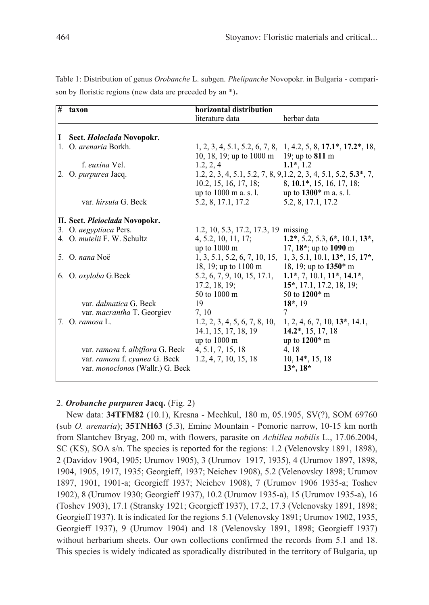| # | taxon                              | horizontal distribution                                             |                                                                                                             |
|---|------------------------------------|---------------------------------------------------------------------|-------------------------------------------------------------------------------------------------------------|
|   |                                    | literature data                                                     | herbar data                                                                                                 |
|   |                                    |                                                                     |                                                                                                             |
| 1 | Sect. <i>Holoclada</i> Novopokr.   |                                                                     |                                                                                                             |
|   | 1. O. <i>arenaria</i> Borkh.       | 10, 18, 19; up to 1000 m 19; up to 811 m                            | $1, 2, 3, 4, 5.1, 5.2, 6, 7, 8, 1, 4.2, 5, 8, 17.1^*, 17.2^*, 18,$                                          |
|   | f. euxina Vel.                     | 1.2, 2, 4                                                           | $1.1^*$ , 1.2                                                                                               |
|   | 2. O. purpurea Jacq.               | 10.2, 15, 16, 17, 18;                                               | 1.2, 2, 3, 4, 5.1, 5.2, 7, 8, 9, 1.2, 2, 3, 4, 5.1, 5.2, 5.3 <sup>*</sup> , 7,<br>8, 10.1*, 15, 16, 17, 18; |
|   |                                    | up to $1000 \text{ m a. s. } 1.$ up to $1300^* \text{ m a. s. } 1.$ |                                                                                                             |
|   | var. <i>hirsuta</i> G. Beck        | 5.2, 8, 17.1, 17.2                                                  | 5.2, 8, 17.1, 17.2                                                                                          |
|   |                                    |                                                                     |                                                                                                             |
|   | II. Sect. Pleioclada Novopokr.     |                                                                     |                                                                                                             |
|   | 3. O. aegyptiaca Pers.             | 1.2, 10, 5.3, 17.2, 17.3, 19 missing                                |                                                                                                             |
|   | 4. O. <i>mutelii</i> F. W. Schultz |                                                                     | 4, 5.2, 10, 11, 17; <b>1.2</b> *, 5.2, 5.3, <b>6</b> *, 10.1, <b>13</b> *,                                  |
|   |                                    | up to $1000 \text{ m}$                                              | 17, $18^*$ ; up to 1090 m                                                                                   |
|   | 5. O. nana Noë                     |                                                                     | $1, 3, 5.1, 5.2, 6, 7, 10, 15, 1, 3, 5.1, 10.1, 13, 15, 17,$                                                |
|   |                                    | 18, 19; up to 1100 m 18, 19; up to 1350* m                          |                                                                                                             |
|   | 6. O. oxyloba G.Beck               | 5.2, 6, 7, 9, 10, 15, 17.1, $1.1^*, 7, 10.1, 11^*, 14.1^*,$         |                                                                                                             |
|   |                                    | 17.2, 18, 19;                                                       | 15*, 17.1, 17.2, 18, 19;                                                                                    |
|   |                                    | 50 to 1000 m                                                        | 50 to 1200* m                                                                                               |
|   | var. dalmatica G. Beck             | 19                                                                  | $18^*$ , 19                                                                                                 |
|   | var. macrantha T. Georgiev         | 7, 10                                                               |                                                                                                             |
|   | 7. O. ramosa L.                    | 1.2, 2, 3, 4, 5, 6, 7, 8, 10,                                       | 1, 2, 4, 6, 7, 10, 13, 14.1,                                                                                |
|   |                                    | 14.1, 15, 17, 18, 19                                                | $14.2^*, 15, 17, 18$                                                                                        |
|   |                                    | up to $1000 \text{ m}$                                              | up to 1200* m                                                                                               |
|   | var. ramosa f. albiflora G. Beck   | 4, 5.1, 7, 15, 18                                                   | 4, 18                                                                                                       |
|   | var. ramosa f. cyanea G. Beck      | 1.2, 4, 7, 10, 15, 18                                               | $10, 14^*, 15, 18$                                                                                          |
|   | var. monoclonos (Wallr.) G. Beck   |                                                                     | $13^*$ , $18^*$                                                                                             |
|   |                                    |                                                                     |                                                                                                             |

Table 1: Distribution of genus *Orobanche* L. subgen. *Phelipanche* Novopokr. in Bulgaria - comparison by floristic regions (new data are preceded by an \*).

# 2. *Orobanche purpurea* **Jacq.** (Fig. 2)

New data: **34TFM82** (10.1), Kresna - Mechkul, 180 m, 05.1905, SV(?), SOM 69760 (sub *O. arenaria*); **35TNH63** (5.3), Emine Mountain - Pomorie narrow, 10-15 km north from Slantchev Bryag, 200 m, with flowers, parasite on *Achillea nobilis* L., 17.06.2004, SC (KS), SOA s/n. The species is reported for the regions: 1.2 (Velenovsky 1891, 1898), 2 (Davidov 1904, 1905; Urumov 1905), 3 (Urumov 1917, 1935), 4 (Urumov 1897, 1898, 1904, 1905, 1917, 1935; Georgieff, 1937; Neichev 1908), 5.2 (Velenovsky 1898; Urumov 1897, 1901, 1901-a; Georgieff 1937; Neichev 1908), 7 (Urumov 1906 1935-a; Toshev 1902), 8 (Urumov 1930; Georgieff 1937), 10.2 (Urumov 1935-a), 15 (Urumov 1935-a), 16 (Toshev 1903), 17.1 (Stransky 1921; Georgieff 1937), 17.2, 17.3 (Velenovsky 1891, 1898; Georgieff 1937). It is indicated for the regions 5.1 (Velenovsky 1891; Urumov 1902, 1935, Georgieff 1937), 9 (Urumov 1904) and 18 (Velenovsky 1891, 1898; Georgieff 1937) without herbarium sheets. Our own collections confirmed the records from 5.1 and 18. This species is widely indicated as sporadically distributed in the territory of Bulgaria, up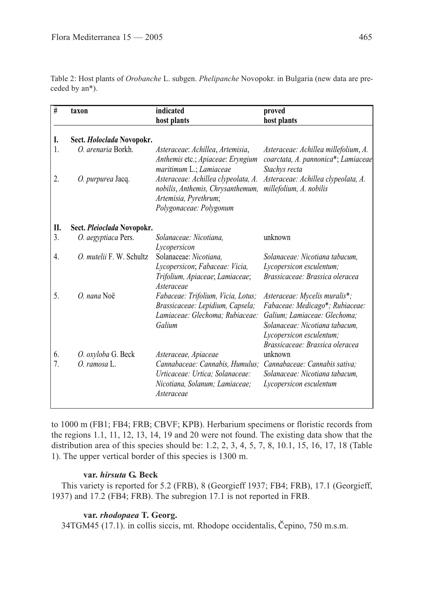Table 2: Host plants of *Orobanche* L. subgen. *Phelipanche* Novopokr. in Bulgaria (new data are preceded by an\*).

| #  | taxon                      | indicated<br>host plants                                                                                                     | proved<br>host plants                                                                        |
|----|----------------------------|------------------------------------------------------------------------------------------------------------------------------|----------------------------------------------------------------------------------------------|
| I. | Sect. Holoclada Novopokr.  |                                                                                                                              |                                                                                              |
| 1. | O. arenaria Borkh.         | Asteraceae: Achillea, Artemisia,<br>Anthemis etc.; Apiaceae: Eryngium<br>maritimum L.; Lamiaceae                             | Asteraceae: Achillea millefolium, A.<br>coarctata, A. pannonica*; Lamiaceae<br>Stachys recta |
| 2. | O. purpurea Jacq.          | Asteraceae: Achillea clypeolata, A.<br>nobilis, Anthemis, Chrysanthemum,<br>Artemisia, Pyrethrum;<br>Polygonaceae: Polygonum | Asteraceae: Achillea clypeolata, A.<br>millefolium, A. nobilis                               |
| Π. | Sect. Pleioclada Novopokr. |                                                                                                                              |                                                                                              |
| 3. | O. aegyptiaca Pers.        | Solanaceae: Nicotiana.<br>Lycopersicon                                                                                       | unknown                                                                                      |
| 4. | O. mutelii F. W. Schultz   | Solanaceae: Nicotiana.                                                                                                       | Solanaceae: Nicotiana tabacum.                                                               |
|    |                            | Lycopersicon; Fabaceae: Vicia,                                                                                               | Lycopersicon esculentum;                                                                     |
|    |                            | Trifolium, Apiaceae; Lamiaceae;<br>Asteraceae                                                                                | Brassicaceae: Brassica oleracea                                                              |
| 5. | O. nana Noë                | Fabaceae: Trifolium, Vicia, Lotus;                                                                                           | Asteraceae: Mycelis muralis*;                                                                |
|    |                            | Brassicaceae: Lepidium, Capsela;                                                                                             | Fabaceae: Medicago*; Rubiaceae:                                                              |
|    |                            | Lamiaceae: Glechoma; Rubiaceae:                                                                                              | Galium: Lamiaceae: Glechoma:                                                                 |
|    |                            | Galium                                                                                                                       | Solanaceae: Nicotiana tabacum,                                                               |
|    |                            |                                                                                                                              | Lycopersicon esculentum;<br>Brassicaceae: Brassica oleracea                                  |
| 6. | O. oxyloba G. Beck         | Asteraceae, Apiaceae                                                                                                         | unknown                                                                                      |
| 7. | O. ramosa L.               | Cannabaceae: Cannabis, Humulus;                                                                                              | Cannabaceae: Cannabis sativa:                                                                |
|    |                            | Urticaceae: Urtica: Solanaceae:                                                                                              | Solanaceae: Nicotiana tabacum.                                                               |
|    |                            | Nicotiana, Solanum; Lamiaceae;<br>Asteraceae                                                                                 | Lycopersicon esculentum                                                                      |
|    |                            |                                                                                                                              |                                                                                              |

to 1000 m (FB1; FB4; FRB; CBVF; KPB). Herbarium specimens or floristic records from the regions 1.1, 11, 12, 13, 14, 19 and 20 were not found. The existing data show that the distribution area of this species should be: 1.2, 2, 3, 4, 5, 7, 8, 10.1, 15, 16, 17, 18 (Table 1). The upper vertical border of this species is 1300 m.

# **var.** *hirsuta* **G. Beck**

This variety is reported for 5.2 (FRB), 8 (Georgieff 1937; FB4; FRB), 17.1 (Georgieff, 1937) and 17.2 (FB4; FRB). The subregion 17.1 is not reported in FRB.

# **var.** *rhodopaea* **T. Georg.**

34TGM45 (17.1). in collis siccis, mt. Rhodope occidentalis, Čepino, 750 m.s.m.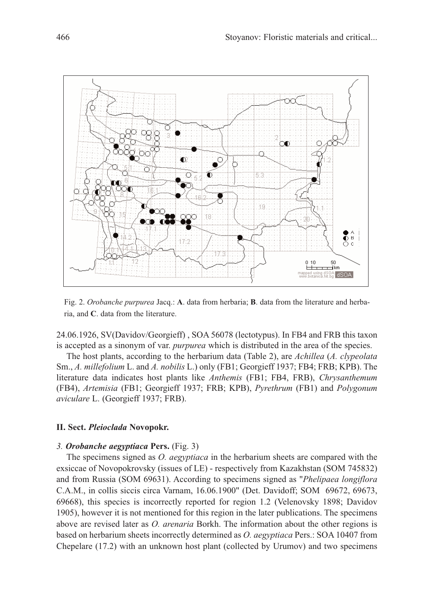

Fig. 2. *Orobanche purpurea* Jacq.: **A**. data from herbaria; **B**. data from the literature and herbaria, and **C**. data from the literature.

24.06.1926, SV(Davidov/Georgieff) , SOA 56078 (lectotypus). In FB4 and FRB this taxon is accepted as a sinonym of var. *purpurea* which is distributed in the area of the species.

The host plants, according to the herbarium data (Table 2), are *Achillea* (*A. clypeolata* Sm., *A. millefolium* L. and *A. nobilis* L.) only (FB1; Georgieff 1937; FB4; FRB; KPB). The literature data indicates host plants like *Anthemis* (FB1; FB4, FRB), *Chrysanthemum* (FB4), *Artemisia* (FB1; Georgieff 1937; FRB; KPB), *Pyrethrum* (FB1) and *Polygonum aviculare* L. (Georgieff 1937; FRB).

#### **II. Sect.** *Pleioclada* **Novopokr.**

#### *3. Orobanche aegyptiaca* **Pers.** (Fig. 3)

The specimens signed as *O. aegyptiaca* in the herbarium sheets are compared with the exsiccae of Novopokrovsky (issues of LE) - respectively from Kazakhstan (SOM 745832) and from Russia (SOM 69631). According to specimens signed as "*Phelipaea longiflora* C.A.M., in collis siccis circa Varnam, 16.06.1900" (Det. Davidoff; SOM 69672, 69673, 69668), this species is incorrectly reported for region 1.2 (Velenovsky 1898; Davidov 1905), however it is not mentioned for this region in the later publications. The specimens above are revised later as *O. arenaria* Borkh. The information about the other regions is based on herbarium sheets incorrectly determined as *O. aegyptiaca* Pers.: SOA 10407 from Chepelare (17.2) with an unknown host plant (collected by Urumov) and two specimens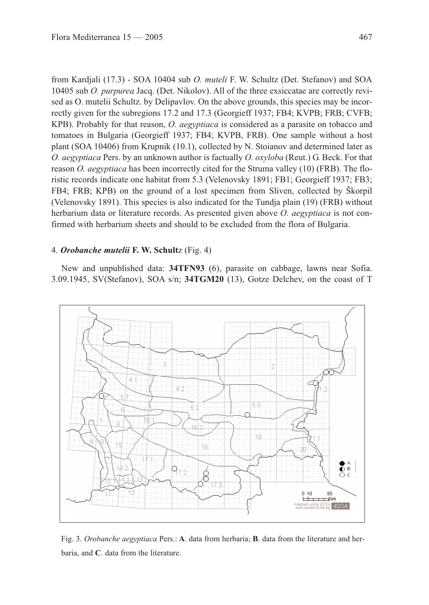from Kardjali (17.3) - SOA 10404 sub *O. muteli* F. W. Schultz (Det. Stefanov) and SOA 10405 sub *O. purpurea* Jacq. (Det. Nikolov). All of the three exsiccatae are correctly revised as O. mutelii Schultz. by Delipavlov. On the above grounds, this species may be incorrectly given for the subregions 17.2 and 17.3 (Georgieff 1937; FB4; KVPB; FRB; CVFB; KPB). Probably for that reason, *O. aegyptiaca* is considered as a parasite on tobacco and tomatoes in Bulgaria (Georgieff 1937; FB4; KVPB, FRB). One sample without a host plant (SOA 10406) from Krupnik (10.1), collected by N. Stoianov and determined later as *O. aegyptiaca* Pers. by an unknown author is factually *O. oxyloba* (Reut.) G. Beck. For that reason *O. aegyptiaca* has been incorrectly cited for the Struma valley (10) (FRB). The floristic records indicate one habitat from 5.3 (Velenovsky 1891; FB1; Georgieff 1937; FB3; FB4; FRB; KPB) on the ground of a lost specimen from Sliven, collected by Škorpil (Velenovsky 1891). This species is also indicated for the Tundja plain (19) (FRB) without herbarium data or literature records. As presented given above *O. aegyptiaca* is not confirmed with herbarium sheets and should to be excluded from the flora of Bulgaria.

### 4. *Orobanche mutelii* **F. W. Schult**z (Fig. 4)

New and unpublished data: **34TFN93** (6), parasite on cabbage, lawns near Sofia. 3.09.1945, SV(Stefanov), SOA s/n; **34TGM20** (13), Gotze Delchev, on the coast of T



Fig. 3. *Orobanche aegyptiaca* Pers.: **A**. data from herbaria; **B**. data from the literature and herbaria, and **C**. data from the literature.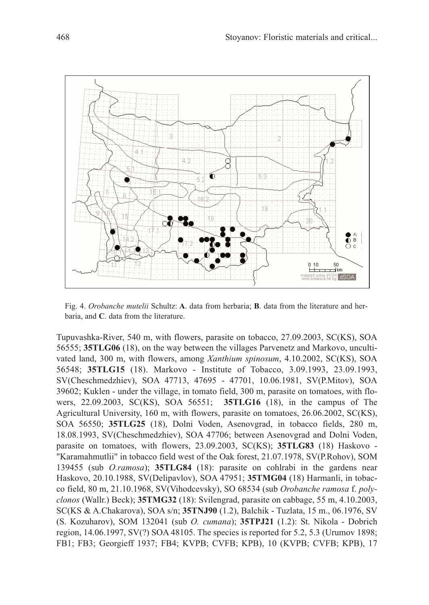

Fig. 4. *Orobanche mutelii* Schultz: **A**. data from herbaria; **B**. data from the literature and herbaria, and **C**. data from the literature.

Tupuvashka-River, 540 m, with flowers, parasite on tobacco, 27.09.2003, SC(KS), SOA 56555; **35TLG06** (18), on the way between the villages Parvenetz and Markovo, uncultivated land, 300 m, with flowers, among *Xanthium spinosum*, 4.10.2002, SC(KS), SOA 56548; **35TLG15** (18). Markovo - Institute of Tobacco, 3.09.1993, 23.09.1993, SV(Cheschmedzhiev), SOA 47713, 47695 - 47701, 10.06.1981, SV(P.Mitov), SOA 39602; Kuklen - under the village, in tomato field, 300 m, parasite on tomatoes, with flowers, 22.09.2003, SC(KS), SOA 56551; **35TLG16** (18), in the campus of The Agricultural University, 160 m, with flowers, parasite on tomatoes, 26.06.2002, SC(KS), SOA 56550; **35TLG25** (18), Dolni Voden, Asenovgrad, in tobacco fields, 280 m, 18.08.1993, SV(Cheschmedzhiev), SOA 47706; between Asenovgrad and Dolni Voden, parasite on tomatoes, with flowers, 23.09.2003, SC(KS); **35TLG83** (18) Haskovo - "Karamahmutlii" in tobacco field west of the Oak forest, 21.07.1978, SV(P.Rohov), SOM 139455 (sub *O.ramosa*); **35TLG84** (18): parasite on cohlrabi in the gardens near Haskovo, 20.10.1988, SV(Delipavlov), SOA 47951; **35TMG04** (18) Harmanli, in tobacco field, 80 m, 21.10.1968, SV(Vihodcevsky), SO 68534 (sub *Orobanche ramosa* f. *polyclonos* (Wallr.) Beck); **35TMG32** (18): Svilengrad, parasite on cabbage, 55 m, 4.10.2003, SC(KS & A.Chakarova), SOA s/n; **35TNJ90** (1.2), Balchik - Tuzlata, 15 m., 06.1976, SV (S. Kozuharov), SOM 132041 (sub *O. cumana*); **35TPJ21** (1.2): St. Nikola - Dobrich region, 14.06.1997, SV(?) SOA 48105. The species is reported for 5.2, 5.3 (Urumov 1898; FB1; FB3; Georgieff 1937; FB4; KVPB; CVFB; KPB), 10 (KVPB; CVFB; KPB), 17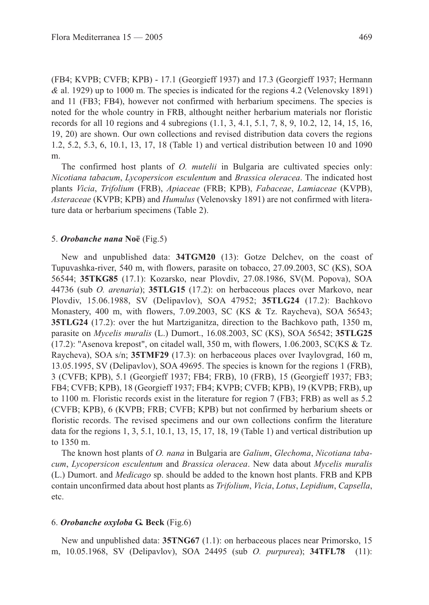(FB4; KVPB; CVFB; KPB) - 17.1 (Georgieff 1937) and 17.3 (Georgieff 1937; Hermann *&* al. 1929) up to 1000 m. The species is indicated for the regions 4.2 (Velenovsky 1891) and 11 (FB3; FB4), however not confirmed with herbarium specimens. The species is noted for the whole country in FRB, althought neither herbarium materials nor floristic records for all 10 regions and 4 subregions (1.1, 3, 4.1, 5.1, 7, 8, 9, 10.2, 12, 14, 15, 16, 19, 20) are shown. Our own collections and revised distribution data covers the regions 1.2, 5.2, 5.3, 6, 10.1, 13, 17, 18 (Table 1) and vertical distribution between 10 and 1090 m.

The confirmed host plants of *O. mutelii* in Bulgaria are cultivated species only: *Nicotiana tabacum*, *Lycopersicon esculentum* and *Brassica oleracea*. The indicated host plants *Vicia*, *Trifolium* (FRB), *Apiaceae* (FRB; KPB), *Fabaceae*, *Lamiaceae* (KVPB), *Asteraceae* (KVPB; KPB) and *Humulus* (Velenovsky 1891) are not confirmed with literature data or herbarium specimens (Table 2).

#### 5. *Orobanche nana* **Noë** (Fig.5)

New and unpublished data: **34TGM20** (13): Gotze Delchev, on the coast of Tupuvashka-river, 540 m, with flowers, parasite on tobacco, 27.09.2003, SC (KS), SOA 56544; **35TKG85** (17.1): Kozarsko, near Plovdiv, 27.08.1986, SV(M. Popova), SOA 44736 (sub *O. arenaria*); **35TLG15** (17.2): on herbaceous places over Markovo, near Plovdiv, 15.06.1988, SV (Delipavlov), SOA 47952; **35TLG24** (17.2): Bachkovo Monastery, 400 m, with flowers, 7.09.2003, SC (KS & Tz. Raycheva), SOA 56543; **35TLG24** (17.2): over the hut Martziganitza, direction to the Bachkovo path, 1350 m, parasite on *Mycelis muralis* (L.) Dumort., 16.08.2003, SC (KS), SOA 56542; **35TLG25**  $(17.2)$ : "Asenova krepost", on citadel wall, 350 m, with flowers, 1.06.2003, SC(KS & Tz. Raycheva), SOA s/n; **35TMF29** (17.3): on herbaceous places over Ivaylovgrad, 160 m, 13.05.1995, SV (Delipavlov), SOA 49695. The species is known for the regions 1 (FRB), 3 (CVFB; KPB), 5.1 (Georgieff 1937; FB4; FRB), 10 (FRB), 15 (Georgieff 1937; FB3; FB4; CVFB; KPB), 18 (Georgieff 1937; FB4; KVPB; CVFB; KPB), 19 (KVPB; FRB), up to 1100 m. Floristic records exist in the literature for region 7 (FB3; FRB) as well as 5.2 (CVFB; KPB), 6 (KVPB; FRB; CVFB; KPB) but not confirmed by herbarium sheets or floristic records. The revised specimens and our own collections confirm the literature data for the regions 1, 3, 5.1, 10.1, 13, 15, 17, 18, 19 (Table 1) and vertical distribution up to 1350 m.

The known host plants of *O. nana* in Bulgaria are *Galium*, *Glechoma*, *Nicotiana tabacum*, *Lycopersicon esculentum* and *Brassica oleracea*. New data about *Mycelis muralis* (L.) Dumort. and *Medicago* sp. should be added to the known host plants. FRB and KPB contain unconfirmed data about host plants as *Trifolium*, *Vicia*, *Lotus*, *Lepidium*, *Capsella*, etc.

#### 6. *Orobanche oxyloba* **G. Beck** (Fig.6)

New and unpublished data: **35TNG67** (1.1): on herbaceous places near Primorsko, 15 m, 10.05.1968, SV (Delipavlov), SOA 24495 (sub *O. purpurea*); **34TFL78** (11):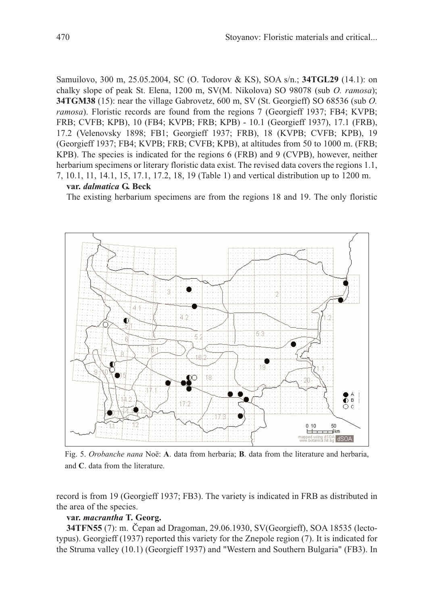Samuilovo, 300 m, 25.05.2004, SC (O. Todorov & KS), SOA s/n.; **34TGL29** (14.1): on chalky slope of peak St. Elena, 1200 m, SV(M. Nikolova) SO 98078 (sub *O. ramosa*); **34TGM38** (15): near the village Gabrovetz, 600 m, SV (St. Georgieff) SO 68536 (sub *O. ramosa*). Floristic records are found from the regions 7 (Georgieff 1937; FB4; KVPB; FRB; CVFB; KPB), 10 (FB4; KVPB; FRB; KPB) - 10.1 (Georgieff 1937), 17.1 (FRB), 17.2 (Velenovsky 1898; FB1; Georgieff 1937; FRB), 18 (KVPB; CVFB; KPB), 19 (Georgieff 1937; FB4; KVPB; FRB; CVFB; KPB), at altitudes from 50 to 1000 m. (FRB; KPB). The species is indicated for the regions 6 (FRB) and 9 (CVPB), however, neither herbarium specimens or literary floristic data exist. The revised data covers the regions 1.1, 7, 10.1, 11, 14.1, 15, 17.1, 17.2, 18, 19 (Table 1) and vertical distribution up to 1200 m.

# **var.** *dalmatica* **G. Beck**

The existing herbarium specimens are from the regions 18 and 19. The only floristic



Fig. 5. *Orobanche nana* Noë: **A**. data from herbaria; **B**. data from the literature and herbaria, and **C**. data from the literature.

record is from 19 (Georgieff 1937; FB3). The variety is indicated in FRB as distributed in the area of the species.

# **var.** *macrantha* **T. Georg.**

**34TFN55** (7): m. Čepan ad Dragoman, 29.06.1930, SV(Georgieff), SOA 18535 (lectotypus). Georgieff (1937) reported this variety for the Znepole region (7). It is indicated for the Struma valley (10.1) (Georgieff 1937) and "Western and Southern Bulgaria" (FB3). In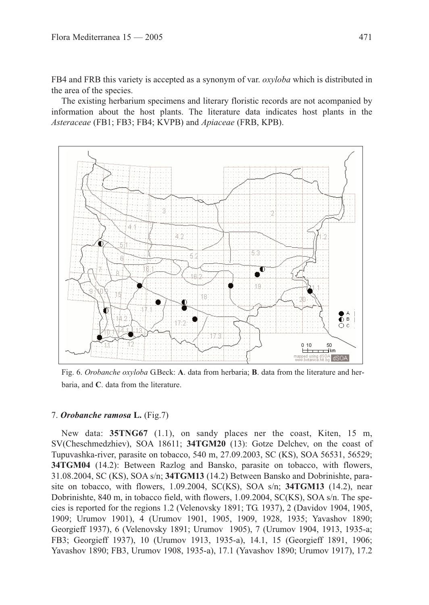FB4 and FRB this variety is accepted as a synonym of var. *oxyloba* which is distributed in the area of the species.

The existing herbarium specimens and literary floristic records are not acompanied by information about the host plants. The literature data indicates host plants in the *Asteraceae* (FB1; FB3; FB4; KVPB) and *Apiaceae* (FRB, KPB).



Fig. 6. *Orobanche oxyloba* G.Beck: **A**. data from herbaria; **B**. data from the literature and herbaria, and **C**. data from the literature.

#### 7. *Orobanche ramosa* **L.** (Fig.7)

New data: **35TNG67** (1.1), on sandy places ner the coast, Kiten, 15 m, SV(Cheschmedzhiev), SOA 18611; **34TGM20** (13): Gotze Delchev, on the coast of Tupuvashka-river, parasite on tobacco, 540 m, 27.09.2003, SC (KS), SOA 56531, 56529; **34TGM04** (14.2): Between Razlog and Bansko, parasite on tobacco, with flowers, 31.08.2004, SC (KS), SOA s/n; **34TGM13** (14.2) Between Bansko and Dobrinishte, parasite on tobacco, with flowers, 1.09.2004, SC(KS), SOA s/n; **34TGM13** (14.2), near Dobrinishte, 840 m, in tobacco field, with flowers, 1.09.2004, SC(KS), SOA s/n. The species is reported for the regions 1.2 (Velenovsky 1891; TG. 1937), 2 (Davidov 1904, 1905, 1909; Urumov 1901), 4 (Urumov 1901, 1905, 1909, 1928, 1935; Yavashov 1890; Georgieff 1937), 6 (Velenovsky 1891; Urumov 1905), 7 (Urumov 1904, 1913, 1935-a; FB3; Georgieff 1937), 10 (Urumov 1913, 1935-a), 14.1, 15 (Georgieff 1891, 1906; Yavashov 1890; FB3, Urumov 1908, 1935-a), 17.1 (Yavashov 1890; Urumov 1917), 17.2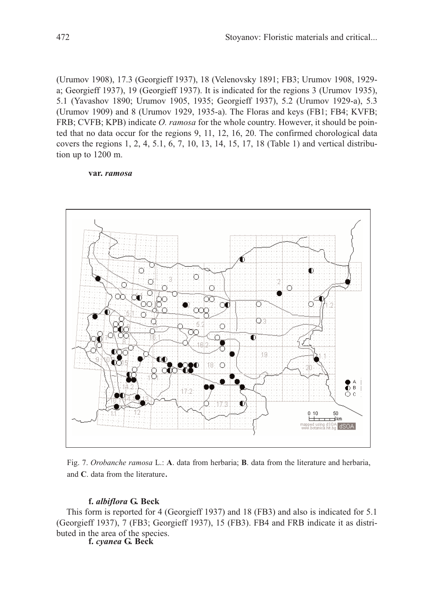(Urumov 1908), 17.3 (Georgieff 1937), 18 (Velenovsky 1891; FB3; Urumov 1908, 1929 a; Georgieff 1937), 19 (Georgieff 1937). It is indicated for the regions 3 (Urumov 1935), 5.1 (Yavashov 1890; Urumov 1905, 1935; Georgieff 1937), 5.2 (Urumov 1929-a), 5.3 (Urumov 1909) and 8 (Urumov 1929, 1935-a). The Floras and keys (FB1; FB4; KVFB; FRB; CVFB; KPB) indicate *O. ramosa* for the whole country. However, it should be pointed that no data occur for the regions 9, 11, 12, 16, 20. The confirmed chorological data covers the regions 1, 2, 4, 5.1, 6, 7, 10, 13, 14, 15, 17, 18 (Table 1) and vertical distribution up to 1200 m.

#### **var.** *ramosa*



Fig. 7. *Orobanche ramosa* L.: **A**. data from herbaria; **B**. data from the literature and herbaria, and **C**. data from the literature.

# **f.** *albiflora* **G. Beck**

This form is reported for 4 (Georgieff 1937) and 18 (FB3) and also is indicated for 5.1 (Georgieff 1937), 7 (FB3; Georgieff 1937), 15 (FB3). FB4 and FRB indicate it as distributed in the area of the species.

**f.** *cyanea* **G. Beck**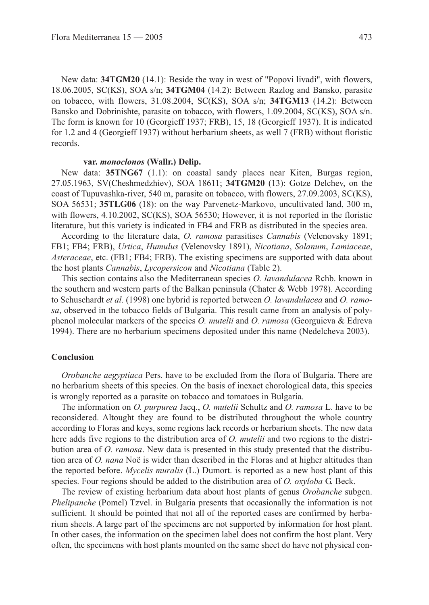New data: **34TGM20** (14.1): Beside the way in west of "Popovi livadi", with flowers, 18.06.2005, SC(KS), SOA s/n; **34TGM04** (14.2): Between Razlog and Bansko, parasite on tobacco, with flowers, 31.08.2004, SC(KS), SOA s/n; **34TGM13** (14.2): Between Bansko and Dobrinishte, parasite on tobacco, with flowers, 1.09.2004, SC(KS), SOA s/n. The form is known for 10 (Georgieff 1937; FRB), 15, 18 (Georgieff 1937). It is indicated for 1.2 and 4 (Georgieff 1937) without herbarium sheets, as well 7 (FRB) without floristic records.

#### **var.** *monoclonos* **(Wallr.) Delip.**

New data: **35TNG67** (1.1): on coastal sandy places near Kiten, Burgas region, 27.05.1963, SV(Cheshmedzhiev), SOA 18611; **34TGM20** (13): Gotze Delchev, on the coast of Tupuvashka-river, 540 m, parasite on tobacco, with flowers, 27.09.2003, SC(KS), SOA 56531; **35TLG06** (18): on the way Parvenetz-Markovo, uncultivated land, 300 m, with flowers, 4.10.2002, SC(KS), SOA 56530; However, it is not reported in the floristic literature, but this variety is indicated in FB4 and FRB as distributed in the species area.

According to the literature data, *O. ramosa* parasitises *Cannabis* (Velenovsky 1891; FB1; FB4; FRB), *Urtica*, *Humulus* (Velenovsky 1891), *Nicotiana*, *Solanum*, *Lamiaceae*, *Asteraceae*, etc. (FB1; FB4; FRB). The existing specimens are supported with data about the host plants *Cannabis*, *Lycopersicon* and *Nicotiana* (Table 2).

This section contains also the Mediterranean species *O. lavandulacea* Rchb. known in the southern and western parts of the Balkan peninsula (Chater & Webb 1978). According to Schuschardt *et al*. (1998) one hybrid is reported between *O. lavandulacea* and *O. ramosa*, observed in the tobacco fields of Bulgaria. This result came from an analysis of polyphenol molecular markers of the species *O. mutelii* and *O. ramosa* (Georguieva & Edreva 1994). There are no herbarium specimens deposited under this name (Nedelcheva 2003).

### **Conclusion**

*Orobanche aegyptiaca* Pers. have to be excluded from the flora of Bulgaria. There are no herbarium sheets of this species. On the basis of inexact chorological data, this species is wrongly reported as a parasite on tobacco and tomatoes in Bulgaria.

The information on *O. purpurea* Jacq., *O. mutelii* Schultz and *O. ramosa* L. have to be reconsidered. Altought they are found to be distributed throughout the whole country according to Floras and keys, some regions lack records or herbarium sheets. The new data here adds five regions to the distribution area of *O. mutelii* and two regions to the distribution area of *O. ramosa*. New data is presented in this study presented that the distribution area of *O. nana* Noë is wider than described in the Floras and at higher altitudes than the reported before. *Mycelis muralis* (L.) Dumort. is reported as a new host plant of this species. Four regions should be added to the distribution area of *O. oxyloba* G. Beck.

The review of existing herbarium data about host plants of genus *Orobanche* subgen. *Phelipanche* (Pomel) Tzvel. in Bulgaria presents that occasionally the information is not sufficient. It should be pointed that not all of the reported cases are confirmed by herbarium sheets. A large part of the specimens are not supported by information for host plant. In other cases, the information on the specimen label does not confirm the host plant. Very often, the specimens with host plants mounted on the same sheet do have not physical con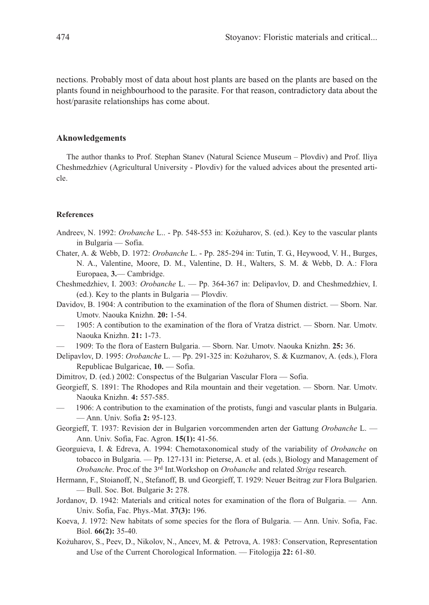nections. Probably most of data about host plants are based on the plants are based on the plants found in neighbourhood to the parasite. For that reason, contradictory data about the host/parasite relationships has come about.

### **Aknowledgements**

The author thanks to Prof. Stephan Stanev (Natural Science Museum – Plovdiv) and Prof. Iliya Cheshmedzhiev (Agricultural University - Plovdiv) for the valued advices about the presented article.

#### **References**

- Andreev, N. 1992: *Orobanche L..* Pp. 548-553 in: Kožuharov, S. (ed.). Key to the vascular plants in Bulgaria — Sofia.
- Chater, A. & Webb, D. 1972: *Orobanche* L. Pp. 285-294 in: Tutin, T. G., Heywood, V. H., Burges, N. A., Valentine, Moore, D. M., Valentine, D. H., Walters, S. M. & Webb, D. A.: Flora Europaea, **3.**— Cambridge.
- Cheshmedzhiev, I. 2003: *Orobanche* L. Pp. 364-367 in: Delipavlov, D. and Cheshmedzhiev, I. (ed.). Key to the plants in Bulgaria — Plovdiv.
- Davidov, B. 1904: A contribution to the examination of the flora of Shumen district. Sborn. Nar. Umotv. Naouka Knizhn. **20:** 1-54.
- 1905: A contibution to the examination of the flora of Vratza district. Sborn. Nar. Umotv. Naouka Knizhn. **21:** 1-73.
- 1909: To the flora of Eastern Bulgaria. Sborn. Nar. Umotv. Naouka Knizhn. **25:** 36.
- Delipavlov, D. 1995: *Orobanche* L. Pp. 291-325 in: Kožuharov, S. & Kuzmanov, A. (eds.), Flora Republicae Bulgaricae, **10.** — Sofia.
- Dimitrov, D. (ed.) 2002: Conspectus of the Bulgarian Vascular Flora Sofia.
- Georgieff, S. 1891: The Rhodopes and Rila mountain and their vegetation. Sborn. Nar. Umotv. Naouka Knizhn. **4:** 557-585.
- 1906: A contribution to the examination of the protists, fungi and vascular plants in Bulgaria. — Ann. Univ. Sofia **2:** 95-123.
- Georgieff, T. 1937: Revision der in Bulgarien vorcommenden arten der Gattung *Orobanche* L. Ann. Univ. Sofia, Fac. Agron. **15(1):** 41-56.
- Georguieva, I. & Edreva, A. 1994: Chemotaxonomical study of the variability of *Orobanche* on tobacco in Bulgaria. — Pp. 127-131 in: Pieterse, A. et al. (eds.), Biology and Management of *Orobanche*. Proc.of the 3rd Int.Workshop on *Orobanche* and related *Striga* research.
- Hermann, F., Stoianoff, N., Stefanoff, B. und Georgieff, T. 1929: Neuer Beitrag zur Flora Bulgarien. — Bull. Soc. Bot. Bulgarie **3:** 278.
- Jordanov, D. 1942: Materials and critical notes for examination of the flora of Bulgaria. Ann. Univ. Sofia, Fac. Phys.-Mat. **37(3):** 196.
- Koeva, J. 1972: New habitats of some species for the flora of Bulgaria. Ann. Univ. Sofia, Fac. Biol. **66(2):** 35-40.
- Kožuharov, S., Peev, D., Nikolov, N., Ancev, M. & Petrova, A. 1983: Conservation, Representation and Use of the Current Chorological Information. — Fitologija **22:** 61-80.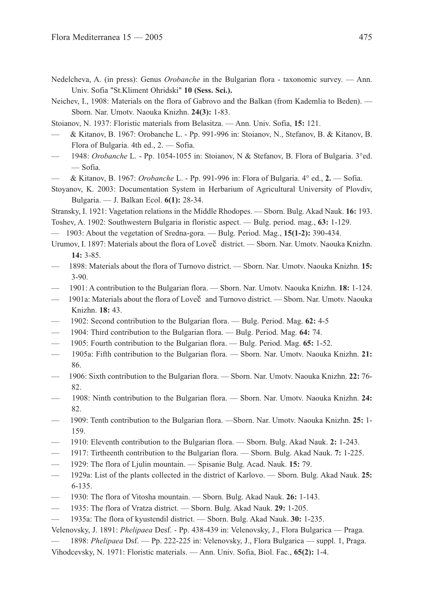Nedelcheva, A. (in press): Genus *Orobanche* in the Bulgarian flora - taxonomic survey. — Ann. Univ. Sofia "St.Kliment Ohridski" **10 (Sess. Sci.).** 

Neichev, I., 1908: Materials on the flora of Gabrovo and the Balkan (from Kademlia to Beden). — Sborn. Nar. Umotv. Naouka Knizhn. **24(3):** 1-83.

- Stoianov, N. 1937: Floristic materials from Belasitza. Ann. Univ. Sofia, **15:** 121.
- & Kitanov, B. 1967: Orobanche L. Pp. 991-996 in: Stoianov, N., Stefanov, B. & Kitanov, B. Flora of Bulgaria. 4th ed., 2. — Sofia.
- 1948: *Orobanche* L. Pp. 1054-1055 in: Stoianov, N & Stefanov, B. Flora of Bulgaria. 3°ed. — Sofia.
- & Kitanov, B. 1967: *Orobanche* L. Pp. 991-996 in: Flora of Bulgaria. 4° ed., **2.** Sofia.
- Stoyanov, K. 2003: Documentation System in Herbarium of Agricultural University of Plovdiv, Bulgaria. — J. Balkan Ecol. **6(1):** 28-34.

Stransky, I. 1921: Vagetation relations in the Middle Rhodopes. — Sborn. Bulg. Akad Nauk. **16:** 193. Toshev, A. 1902: Southwestern Bulgaria in floristic aspect. — Bulg. period. mag., **63:** 1-129.

- 1903: About the vegetation of Sredna-gora. Bulg. Period. Mag., **15(1-2):** 390-434.
- Urumov, I. 1897: Materials about the flora of Loveč district. Sborn. Nar. Umotv. Naouka Knizhn. **14:** 3-85.
- 1898: Materials about the flora of Turnovo district. Sborn. Nar. Umotv. Naouka Knizhn. **15:** 3-90.
- 1901: A contribution to the Bulgarian flora. Sborn. Nar. Umotv. Naouka Knizhn. **18:** 1-124.
- 1901a: Materials about the flora of Loveč and Turnovo district. Sborn. Nar. Umotv. Naouka Knizhn. **18:** 43.
- 1902: Second contribution to the Bulgarian flora. Bulg. Period. Mag. **62:** 4-5
- 1904: Third contribution to the Bulgarian flora. Bulg. Period. Mag. **64:** 74.
- 1905: Fourth contribution to the Bulgarian flora. Bulg. Period. Mag. **65:** 1-52.
- 1905a: Fifth contribution to the Bulgarian flora. Sborn. Nar. Umotv. Naouka Knizhn. **21:** 86.
- 1906: Sixth contribution to the Bulgarian flora. Sborn. Nar. Umotv. Naouka Knizhn. **22:** 76- 82.
- 1908: Ninth contribution to the Bulgarian flora. Sborn. Nar. Umotv. Naouka Knizhn. **24:** 82.
- 1909: Tenth contribution to the Bulgarian flora. —Sborn. Nar. Umotv. Naouka Knizhn. **25:** 1- 159.
- 1910: Eleventh contribution to the Bulgarian flora. Sborn. Bulg. Akad Nauk. **2:** 1-243.
- 1917: Tirtheenth contribution to the Bulgarian flora. Sborn. Bulg. Akad Nauk. **7:** 1-225.
- 1929: The flora of Ljulin mountain. Spisanie Bulg. Acad. Nauk. **15:** 79.
- 1929a: List of the plants collected in the district of Karlovo. Sborn. Bulg. Akad Nauk. **25:** 6-135.
- 1930: The flora of Vitosha mountain. Sborn. Bulg. Akad Nauk. **26:** 1-143.
- 1935: The flora of Vratza district. Sborn. Bulg. Akad Nauk. **29:** 1-205.
- 1935a: The flora of kyustendil district. Sborn. Bulg. Akad Nauk. **30:** 1-235.
- Velenovsky, J. 1891: *Phelipaea* Desf. Pp. 438-439 in: Velenovsky, J., Flora Bulgarica Praga.
	- 1898: *Phelipaea* Dsf. Pp. 222-225 in: Velenovsky, J., Flora Bulgarica suppl. 1, Praga.
- Vihodcevsky, N. 1971: Floristic materials. Ann. Univ. Sofia, Biol. Fac., **65(2):** 1-4.